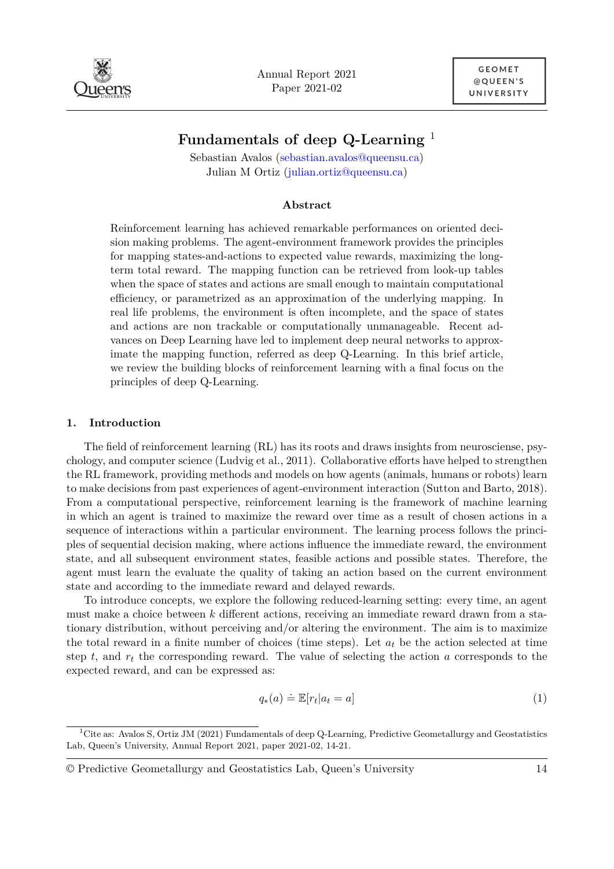

Annual Report 2021 Paper 2021-02

# **Fundamentals of deep Q-Learning** <sup>1</sup>

Sebastian Avalos [\(sebastian.avalos@queensu.ca\)](mailto:sebastian.avalos@queensu.ca) Julian M Ortiz [\(julian.ortiz@queensu.ca\)](mailto:julian.ortiz@queensu.ca)

#### **Abstract**

Reinforcement learning has achieved remarkable performances on oriented decision making problems. The agent-environment framework provides the principles for mapping states-and-actions to expected value rewards, maximizing the longterm total reward. The mapping function can be retrieved from look-up tables when the space of states and actions are small enough to maintain computational efficiency, or parametrized as an approximation of the underlying mapping. In real life problems, the environment is often incomplete, and the space of states and actions are non trackable or computationally unmanageable. Recent advances on Deep Learning have led to implement deep neural networks to approximate the mapping function, referred as deep Q-Learning. In this brief article, we review the building blocks of reinforcement learning with a final focus on the principles of deep Q-Learning.

## **1. Introduction**

The field of reinforcement learning (RL) has its roots and draws insights from neurosciense, psychology, and computer science [\(Ludvig et al., 2011\)](#page-6-0). Collaborative efforts have helped to strengthen the RL framework, providing methods and models on how agents (animals, humans or robots) learn to make decisions from past experiences of agent-environment interaction [\(Sutton and Barto, 2018\)](#page-7-0). From a computational perspective, reinforcement learning is the framework of machine learning in which an agent is trained to maximize the reward over time as a result of chosen actions in a sequence of interactions within a particular environment. The learning process follows the principles of sequential decision making, where actions influence the immediate reward, the environment state, and all subsequent environment states, feasible actions and possible states. Therefore, the agent must learn the evaluate the quality of taking an action based on the current environment state and according to the immediate reward and delayed rewards.

To introduce concepts, we explore the following reduced-learning setting: every time, an agent must make a choice between *k* different actions, receiving an immediate reward drawn from a stationary distribution, without perceiving and/or altering the environment. The aim is to maximize the total reward in a finite number of choices (time steps). Let  $a_t$  be the action selected at time step *t*, and *r<sup>t</sup>* the corresponding reward. The value of selecting the action *a* corresponds to the expected reward, and can be expressed as:

$$
q_*(a) \doteq \mathbb{E}[r_t|a_t = a] \tag{1}
$$

<sup>&</sup>lt;sup>1</sup>Cite as: Avalos S, Ortiz JM (2021) Fundamentals of deep Q-Learning, Predictive Geometallurgy and Geostatistics Lab, Queen's University, Annual Report 2021, paper 2021-02, 14-21.

<sup>©</sup> Predictive Geometallurgy and Geostatistics Lab, Queen's University 14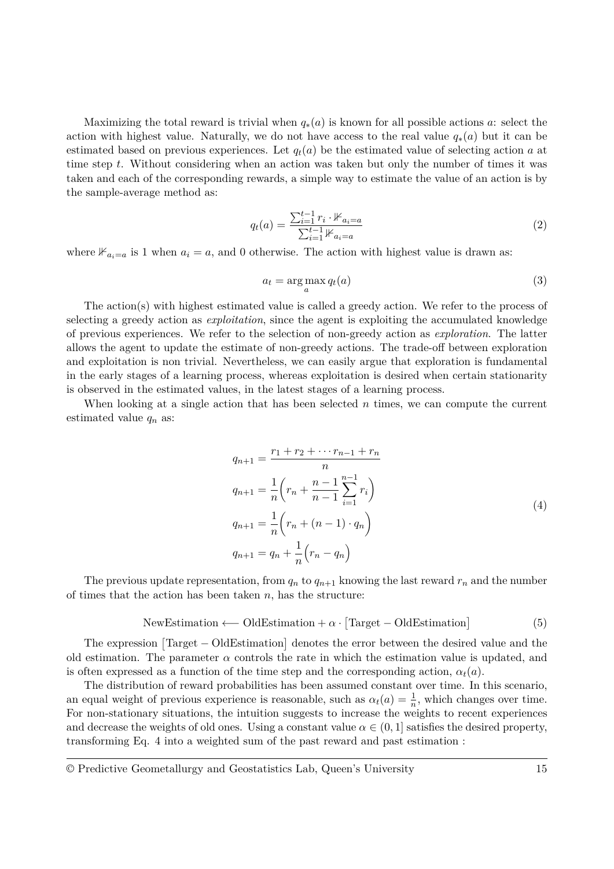Maximizing the total reward is trivial when  $q_*(a)$  is known for all possible actions *a*: select the action with highest value. Naturally, we do not have access to the real value  $q_*(a)$  but it can be estimated based on previous experiences. Let  $q_t(a)$  be the estimated value of selecting action *a* at time step *t*. Without considering when an action was taken but only the number of times it was taken and each of the corresponding rewards, a simple way to estimate the value of an action is by the sample-average method as:

$$
q_t(a) = \frac{\sum_{i=1}^{t-1} r_i \cdot \mathbb{1}_{a_i = a}}{\sum_{i=1}^{t-1} \mathbb{1}_{a_i = a}} \tag{2}
$$

where  $\mathbb{1}_{a_i=a}$  is 1 when  $a_i=a$ , and 0 otherwise. The action with highest value is drawn as:

$$
a_t = \arg\max_a q_t(a) \tag{3}
$$

The action(s) with highest estimated value is called a greedy action. We refer to the process of selecting a greedy action as *exploitation*, since the agent is exploiting the accumulated knowledge of previous experiences. We refer to the selection of non-greedy action as *exploration*. The latter allows the agent to update the estimate of non-greedy actions. The trade-off between exploration and exploitation is non trivial. Nevertheless, we can easily argue that exploration is fundamental in the early stages of a learning process, whereas exploitation is desired when certain stationarity is observed in the estimated values, in the latest stages of a learning process.

When looking at a single action that has been selected *n* times, we can compute the current estimated value  $q_n$  as:

$$
q_{n+1} = \frac{r_1 + r_2 + \dots + r_{n-1} + r_n}{n}
$$
  
\n
$$
q_{n+1} = \frac{1}{n} \left( r_n + \frac{n-1}{n-1} \sum_{i=1}^{n-1} r_i \right)
$$
  
\n
$$
q_{n+1} = \frac{1}{n} \left( r_n + (n-1) \cdot q_n \right)
$$
  
\n
$$
q_{n+1} = q_n + \frac{1}{n} \left( r_n - q_n \right)
$$
\n(4)

<span id="page-1-0"></span>The previous update representation, from  $q_n$  to  $q_{n+1}$  knowing the last reward  $r_n$  and the number of times that the action has been taken *n*, has the structure:

$$
NewEstimation \longleftarrow OldEstimation + \alpha \cdot [Target - OldEstimation]
$$
 (5)

The expression [Target – OldEstimation] denotes the error between the desired value and the old estimation. The parameter  $\alpha$  controls the rate in which the estimation value is updated, and is often expressed as a function of the time step and the corresponding action,  $\alpha_t(a)$ .

The distribution of reward probabilities has been assumed constant over time. In this scenario, an equal weight of previous experience is reasonable, such as  $\alpha_t(a) = \frac{1}{n}$ , which changes over time. For non-stationary situations, the intuition suggests to increase the weights to recent experiences and decrease the weights of old ones. Using a constant value  $\alpha \in (0, 1]$  satisfies the desired property, transforming Eq. [4](#page-1-0) into a weighted sum of the past reward and past estimation :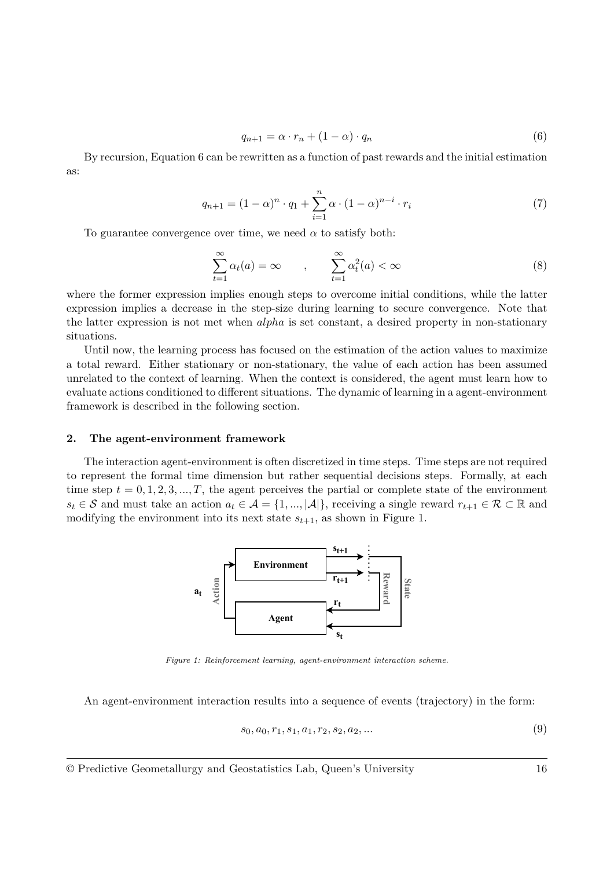<span id="page-2-0"></span>
$$
q_{n+1} = \alpha \cdot r_n + (1 - \alpha) \cdot q_n \tag{6}
$$

By recursion, [Equation 6](#page-2-0) can be rewritten as a function of past rewards and the initial estimation as:

<span id="page-2-2"></span>
$$
q_{n+1} = (1 - \alpha)^n \cdot q_1 + \sum_{i=1}^n \alpha \cdot (1 - \alpha)^{n-i} \cdot r_i
$$
 (7)

To guarantee convergence over time, we need  $\alpha$  to satisfy both:

$$
\sum_{t=1}^{\infty} \alpha_t(a) = \infty \qquad , \qquad \sum_{t=1}^{\infty} \alpha_t^2(a) < \infty \tag{8}
$$

where the former expression implies enough steps to overcome initial conditions, while the latter expression implies a decrease in the step-size during learning to secure convergence. Note that the latter expression is not met when *alpha* is set constant, a desired property in non-stationary situations.

Until now, the learning process has focused on the estimation of the action values to maximize a total reward. Either stationary or non-stationary, the value of each action has been assumed unrelated to the context of learning. When the context is considered, the agent must learn how to evaluate actions conditioned to different situations. The dynamic of learning in a agent-environment framework is described in the following section.

#### **2. The agent-environment framework**

<span id="page-2-1"></span>The interaction agent-environment is often discretized in time steps. Time steps are not required to represent the formal time dimension but rather sequential decisions steps. Formally, at each time step  $t = 0, 1, 2, 3, ..., T$ , the agent perceives the partial or complete state of the environment *s*<sup>*t*</sup> ∈ S and must take an action  $a_t$  ∈ A = {1, ..., |A|}, receiving a single reward  $r_{t+1}$  ∈ R ⊂ R and modifying the environment into its next state  $s_{t+1}$ , as shown in [Figure 1.](#page-2-1)



*Figure 1: Reinforcement learning, agent-environment interaction scheme.*

An agent-environment interaction results into a sequence of events (trajectory) in the form:

<span id="page-2-3"></span>
$$
s_0, a_0, r_1, s_1, a_1, r_2, s_2, a_2, \dots \tag{9}
$$

© Predictive Geometallurgy and Geostatistics Lab, Queen's University 16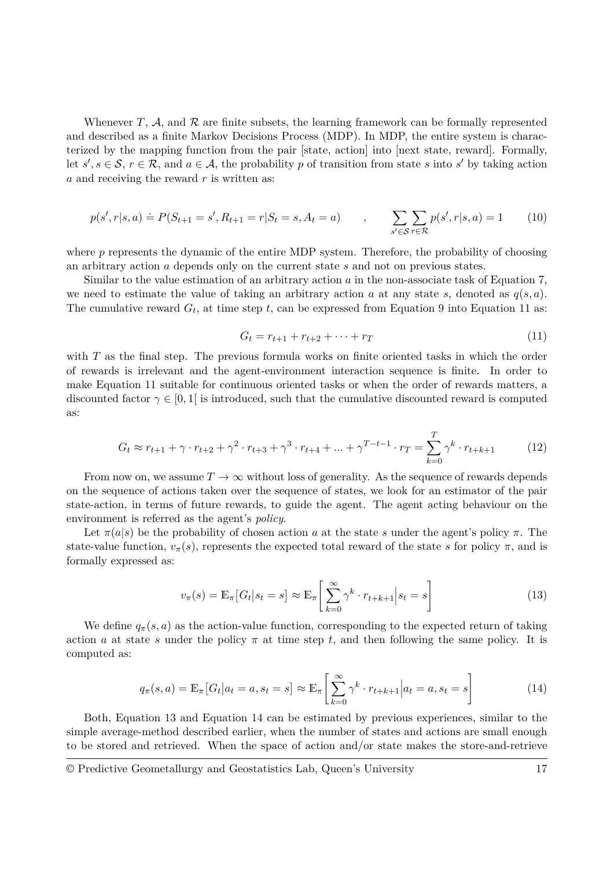Whenever  $T$ ,  $A$ , and  $R$  are finite subsets, the learning framework can be formally represented and described as a finite Markov Decisions Process (MDP). In MDP, the entire system is characterized by the mapping function from the pair [state, action] into [next state, reward]. Formally, let  $s', s \in \mathcal{S}, r \in \mathcal{R}$ , and  $a \in \mathcal{A}$ , the probability p of transition from state s into s' by taking action *a* and receiving the reward *r* is written as:

$$
p(s', r|s, a) \doteq P(S_{t+1} = s', R_{t+1} = r|S_t = s, A_t = a) \qquad , \qquad \sum_{s' \in S} \sum_{r \in \mathcal{R}} p(s', r|s, a) = 1 \qquad (10)
$$

where *p* represents the dynamic of the entire MDP system. Therefore, the probability of choosing an arbitrary action *a* depends only on the current state *s* and not on previous states.

Similar to the value estimation of an arbitrary action *a* in the non-associate task of [Equation 7,](#page-2-2) we need to estimate the value of taking an arbitrary action *a* at any state *s*, denoted as  $q(s, a)$ . The cumulative reward  $G_t$ , at time step  $t$ , can be expressed from [Equation 9](#page-2-3) into [Equation 11](#page-3-0) as:

<span id="page-3-0"></span>
$$
G_t = r_{t+1} + r_{t+2} + \dots + r_T \tag{11}
$$

with *T* as the final step. The previous formula works on finite oriented tasks in which the order of rewards is irrelevant and the agent-environment interaction sequence is finite. In order to make [Equation 11](#page-3-0) suitable for continuous oriented tasks or when the order of rewards matters, a discounted factor  $\gamma \in [0,1]$  is introduced, such that the cumulative discounted reward is computed as:

$$
G_t \approx r_{t+1} + \gamma \cdot r_{t+2} + \gamma^2 \cdot r_{t+3} + \gamma^3 \cdot r_{t+4} + \dots + \gamma^{T-t-1} \cdot r_T = \sum_{k=0}^T \gamma^k \cdot r_{t+k+1}
$$
 (12)

From now on, we assume  $T \to \infty$  without loss of generality. As the sequence of rewards depends on the sequence of actions taken over the sequence of states, we look for an estimator of the pair state-action, in terms of future rewards, to guide the agent. The agent acting behaviour on the environment is referred as the agent's *policy*.

Let  $\pi(a|s)$  be the probability of chosen action *a* at the state *s* under the agent's policy  $\pi$ . The state-value function,  $v_\pi(s)$ , represents the expected total reward of the state *s* for policy  $\pi$ , and is formally expressed as:

<span id="page-3-1"></span>
$$
v_{\pi}(s) = \mathbb{E}_{\pi} [G_t | s_t = s] \approx \mathbb{E}_{\pi} \left[ \sum_{k=0}^{\infty} \gamma^k \cdot r_{t+k+1} \Big| s_t = s \right]
$$
 (13)

We define  $q_{\pi}(s, a)$  as the action-value function, corresponding to the expected return of taking action *a* at state *s* under the policy  $\pi$  at time step *t*, and then following the same policy. It is computed as:

<span id="page-3-2"></span>
$$
q_{\pi}(s, a) = \mathbb{E}_{\pi} [G_t | a_t = a, s_t = s] \approx \mathbb{E}_{\pi} \left[ \sum_{k=0}^{\infty} \gamma^k \cdot r_{t+k+1} \Big| a_t = a, s_t = s \right]
$$
(14)

Both, [Equation 13](#page-3-1) and [Equation 14](#page-3-2) can be estimated by previous experiences, similar to the simple average-method described earlier, when the number of states and actions are small enough to be stored and retrieved. When the space of action and/or state makes the store-and-retrieve

<sup>©</sup> Predictive Geometallurgy and Geostatistics Lab, Queen's University 17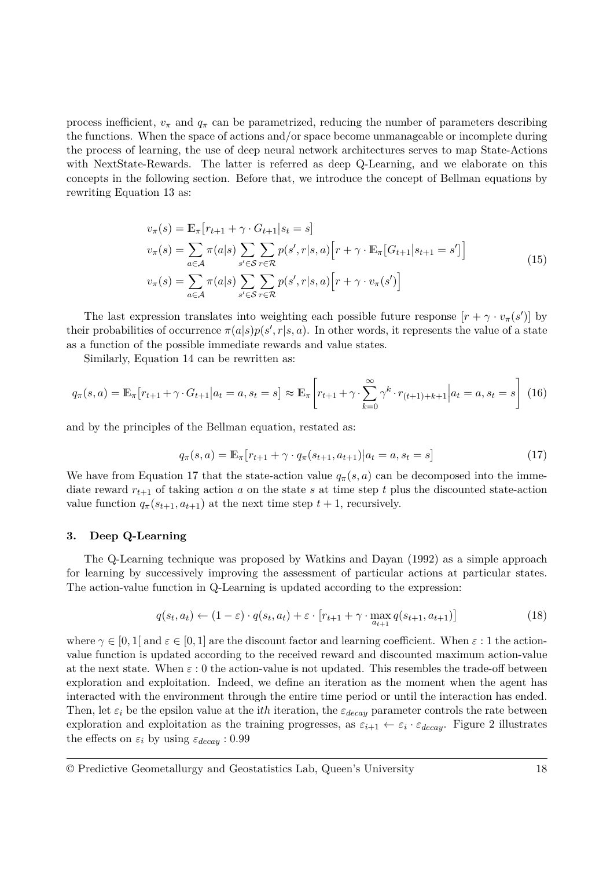process inefficient,  $v_{\pi}$  and  $q_{\pi}$  can be parametrized, reducing the number of parameters describing the functions. When the space of actions and/or space become unmanageable or incomplete during the process of learning, the use of deep neural network architectures serves to map State-Actions with NextState-Rewards. The latter is referred as deep Q-Learning, and we elaborate on this concepts in the following section. Before that, we introduce the concept of Bellman equations by rewriting [Equation 13](#page-3-1) as:

$$
v_{\pi}(s) = \mathbb{E}_{\pi} \left[ r_{t+1} + \gamma \cdot G_{t+1} | s_t = s \right]
$$
  
\n
$$
v_{\pi}(s) = \sum_{a \in \mathcal{A}} \pi(a|s) \sum_{s' \in \mathcal{S}} \sum_{r \in \mathcal{R}} p(s', r|s, a) \left[ r + \gamma \cdot \mathbb{E}_{\pi} \left[ G_{t+1} | s_{t+1} = s' \right] \right]
$$
  
\n
$$
v_{\pi}(s) = \sum_{a \in \mathcal{A}} \pi(a|s) \sum_{s' \in \mathcal{S}} \sum_{r \in \mathcal{R}} p(s', r|s, a) \left[ r + \gamma \cdot v_{\pi}(s') \right]
$$
\n(15)

The last expression translates into weighting each possible future response  $[r + \gamma \cdot v_{\pi}(s')]$  by their probabilities of occurrence  $\pi(a|s)p(s',r|s,a)$ . In other words, it represents the value of a state as a function of the possible immediate rewards and value states.

Similarly, [Equation 14](#page-3-2) can be rewritten as:

$$
q_{\pi}(s, a) = \mathbb{E}_{\pi}[r_{t+1} + \gamma \cdot G_{t+1}|a_t = a, s_t = s] \approx \mathbb{E}_{\pi}\left[r_{t+1} + \gamma \cdot \sum_{k=0}^{\infty} \gamma^k \cdot r_{(t+1)+k+1}|a_t = a, s_t = s\right]
$$
(16)

and by the principles of the Bellman equation, restated as:

<span id="page-4-0"></span>
$$
q_{\pi}(s, a) = \mathbb{E}_{\pi} [r_{t+1} + \gamma \cdot q_{\pi}(s_{t+1}, a_{t+1}) | a_t = a, s_t = s]
$$
\n(17)

We have from [Equation 17](#page-4-0) that the state-action value  $q_{\pi}(s, a)$  can be decomposed into the immediate reward  $r_{t+1}$  of taking action *a* on the state *s* at time step *t* plus the discounted state-action value function  $q_{\pi}(s_{t+1}, a_{t+1})$  at the next time step  $t+1$ , recursively.

# **3. Deep Q-Learning**

The Q-Learning technique was proposed by [Watkins and Dayan](#page-7-1) [\(1992\)](#page-7-1) as a simple approach for learning by successively improving the assessment of particular actions at particular states. The action-value function in Q-Learning is updated according to the expression:

$$
q(s_t, a_t) \leftarrow (1 - \varepsilon) \cdot q(s_t, a_t) + \varepsilon \cdot [r_{t+1} + \gamma \cdot \max_{a_{t+1}} q(s_{t+1}, a_{t+1})]
$$
(18)

where  $\gamma \in [0,1]$  and  $\varepsilon \in [0,1]$  are the discount factor and learning coefficient. When  $\varepsilon : 1$  the actionvalue function is updated according to the received reward and discounted maximum action-value at the next state. When  $\varepsilon$  : 0 the action-value is not updated. This resembles the trade-off between exploration and exploitation. Indeed, we define an iteration as the moment when the agent has interacted with the environment through the entire time period or until the interaction has ended. Then, let  $\varepsilon_i$  be the epsilon value at the *ith* iteration, the  $\varepsilon_{decay}$  parameter controls the rate between exploration and exploitation as the training progresses, as  $\varepsilon_{i+1} \leftarrow \varepsilon_i \cdot \varepsilon_{decay}$ . [Figure 2](#page-5-0) illustrates the effects on  $\varepsilon_i$  by using  $\varepsilon_{decay}$  : 0.99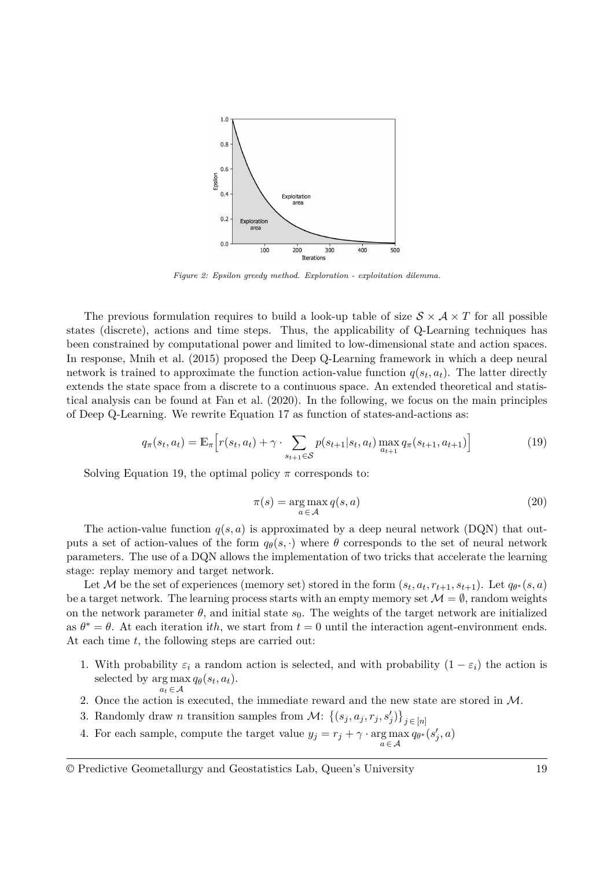<span id="page-5-0"></span>

*Figure 2: Epsilon greedy method. Exploration - exploitation dilemma.*

The previous formulation requires to build a look-up table of size  $S \times A \times T$  for all possible states (discrete), actions and time steps. Thus, the applicability of Q-Learning techniques has been constrained by computational power and limited to low-dimensional state and action spaces. In response, [Mnih et al.](#page-6-1) [\(2015\)](#page-6-1) proposed the Deep Q-Learning framework in which a deep neural network is trained to approximate the function action-value function  $q(s_t, a_t)$ . The latter directly extends the state space from a discrete to a continuous space. An extended theoretical and statistical analysis can be found at [Fan et al.](#page-6-2) [\(2020\)](#page-6-2). In the following, we focus on the main principles of Deep Q-Learning. We rewrite [Equation 17](#page-4-0) as function of states-and-actions as:

<span id="page-5-1"></span>
$$
q_{\pi}(s_t, a_t) = \mathbb{E}_{\pi} \Big[ r(s_t, a_t) + \gamma \cdot \sum_{s_{t+1} \in \mathcal{S}} p(s_{t+1}|s_t, a_t) \max_{a_{t+1}} q_{\pi}(s_{t+1}, a_{t+1}) \Big]
$$
(19)

Solving [Equation 19,](#page-5-1) the optimal policy  $\pi$  corresponds to:

$$
\pi(s) = \underset{a \in \mathcal{A}}{\arg \max} q(s, a) \tag{20}
$$

The action-value function  $q(s, a)$  is approximated by a deep neural network (DQN) that outputs a set of action-values of the form  $q_{\theta}(s, \cdot)$  where  $\theta$  corresponds to the set of neural network parameters. The use of a DQN allows the implementation of two tricks that accelerate the learning stage: replay memory and target network.

Let M be the set of experiences (memory set) stored in the form  $(s_t, a_t, r_{t+1}, s_{t+1})$ . Let  $q_{\theta^*}(s, a)$ be a target network. The learning process starts with an empty memory set  $\mathcal{M} = \emptyset$ , random weights on the network parameter  $\theta$ , and initial state  $s_0$ . The weights of the target network are initialized as  $\theta^* = \theta$ . At each iteration ith, we start from  $t = 0$  until the interaction agent-environment ends. At each time *t*, the following steps are carried out:

- 1. With probability  $\varepsilon_i$  a random action is selected, and with probability  $(1 \varepsilon_i)$  the action is selected by  $\arg \max q_{\theta}(s_t, a_t)$ .  $a_t \in \mathcal{A}$
- 2. Once the action is executed, the immediate reward and the new state are stored in M.
- 3. Randomly draw *n* transition samples from  $\mathcal{M}$ :  $\{(s_j, a_j, r_j, s'_j)\}_{j \in [n]}$
- 4. For each sample, compute the target value  $y_j = r_j + \gamma \cdot \argmax_{a \in \mathcal{A}} q_{\theta^*}(s'_j, a)$

<sup>©</sup> Predictive Geometallurgy and Geostatistics Lab, Queen's University 19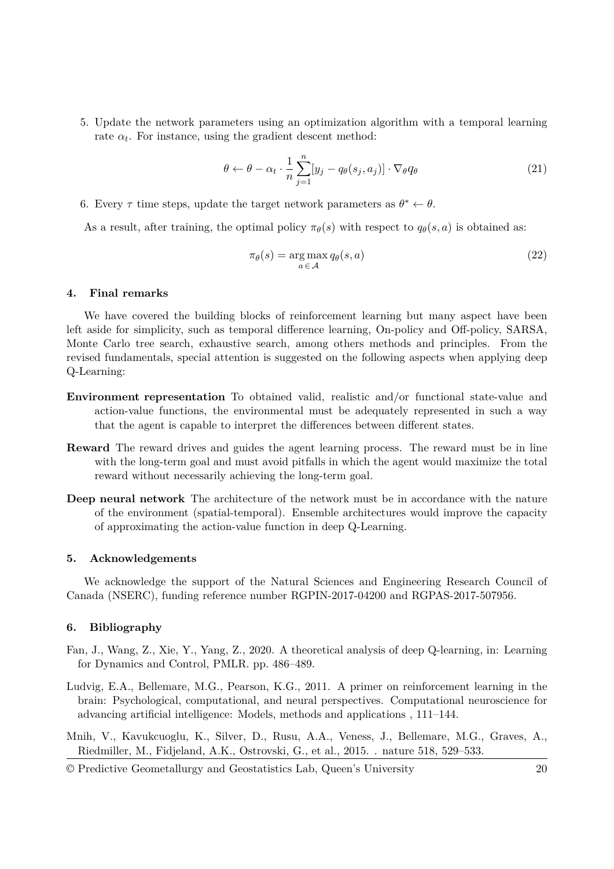5. Update the network parameters using an optimization algorithm with a temporal learning rate  $\alpha_t$ . For instance, using the gradient descent method:

$$
\theta \leftarrow \theta - \alpha_t \cdot \frac{1}{n} \sum_{j=1}^n [y_j - q_\theta(s_j, a_j)] \cdot \nabla_\theta q_\theta \tag{21}
$$

6. Every  $\tau$  time steps, update the target network parameters as  $\theta^* \leftarrow \theta$ .

As a result, after training, the optimal policy  $\pi_{\theta}(s)$  with respect to  $q_{\theta}(s, a)$  is obtained as:

$$
\pi_{\theta}(s) = \underset{a \in \mathcal{A}}{\arg \max} q_{\theta}(s, a) \tag{22}
$$

# **4. Final remarks**

We have covered the building blocks of reinforcement learning but many aspect have been left aside for simplicity, such as temporal difference learning, On-policy and Off-policy, SARSA, Monte Carlo tree search, exhaustive search, among others methods and principles. From the revised fundamentals, special attention is suggested on the following aspects when applying deep Q-Learning:

- **Environment representation** To obtained valid, realistic and/or functional state-value and action-value functions, the environmental must be adequately represented in such a way that the agent is capable to interpret the differences between different states.
- **Reward** The reward drives and guides the agent learning process. The reward must be in line with the long-term goal and must avoid pitfalls in which the agent would maximize the total reward without necessarily achieving the long-term goal.
- **Deep neural network** The architecture of the network must be in accordance with the nature of the environment (spatial-temporal). Ensemble architectures would improve the capacity of approximating the action-value function in deep Q-Learning.

#### **5. Acknowledgements**

We acknowledge the support of the Natural Sciences and Engineering Research Council of Canada (NSERC), funding reference number RGPIN-2017-04200 and RGPAS-2017-507956.

# **6. Bibliography**

- <span id="page-6-2"></span>Fan, J., Wang, Z., Xie, Y., Yang, Z., 2020. [A theoretical analysis of deep Q-learning,](https://arxiv.org/pdf/1901.00137.pdf) in: Learning for Dynamics and Control, PMLR. pp. 486–489.
- <span id="page-6-0"></span>Ludvig, E.A., Bellemare, M.G., Pearson, K.G., 2011. [A primer on reinforcement learning in the](https://10.4018/978-1-60960-021-1.ch006) [brain: Psychological, computational, and neural perspectives.](https://10.4018/978-1-60960-021-1.ch006) Computational neuroscience for advancing artificial intelligence: Models, methods and applications , 111–144.
- <span id="page-6-1"></span>Mnih, V., Kavukcuoglu, K., Silver, D., Rusu, A.A., Veness, J., Bellemare, M.G., Graves, A., Riedmiller, M., Fidjeland, A.K., Ostrovski, G., et al., 2015. [.](https://www.datascienceassn.org/sites/default/files/Human-levelcontrol through deep reinforcement learning) nature 518, 529–533.
- © Predictive Geometallurgy and Geostatistics Lab, Queen's University 20